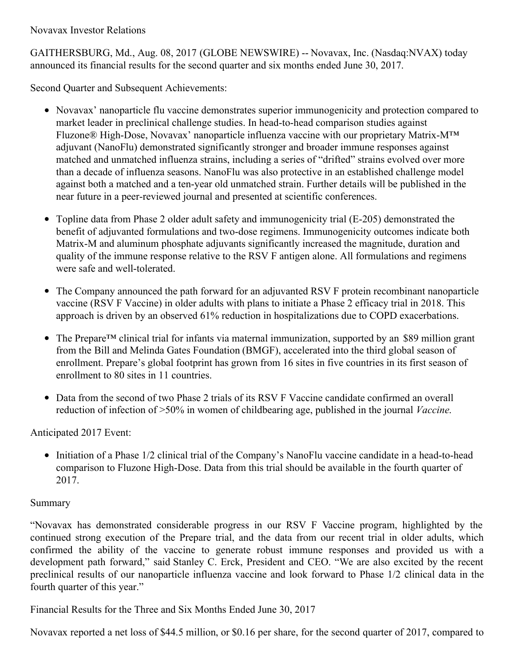Novavax Investor Relations

GAITHERSBURG, Md., Aug. 08, 2017 (GLOBE NEWSWIRE) -- Novavax, Inc. (Nasdaq:NVAX) today announced its financial results for the second quarter and six months ended June 30, 2017.

Second Quarter and Subsequent Achievements:

- Novavax' nanoparticle flu vaccine demonstrates superior immunogenicity and protection compared to market leader in preclinical challenge studies. In head-to-head comparison studies against Fluzone® High-Dose, Novavax' nanoparticle influenza vaccine with our proprietary Matrix-M™ adjuvant (NanoFlu) demonstrated significantly stronger and broader immune responses against matched and unmatched influenza strains, including a series of "drifted" strains evolved over more than a decade of influenza seasons. NanoFlu was also protective in an established challenge model against both a matched and a ten-year old unmatched strain. Further details will be published in the near future in a peer-reviewed journal and presented at scientific conferences.
- Topline data from Phase 2 older adult safety and immunogenicity trial (E-205) demonstrated the benefit of adjuvanted formulations and two-dose regimens. Immunogenicity outcomes indicate both Matrix-M and aluminum phosphate adjuvants significantly increased the magnitude, duration and quality of the immune response relative to the RSV F antigen alone. All formulations and regimens were safe and well-tolerated.
- The Company announced the path forward for an adjuvanted RSV F protein recombinant nanoparticle vaccine (RSV F Vaccine) in older adults with plans to initiate a Phase 2 efficacy trial in 2018. This approach is driven by an observed 61% reduction in hospitalizations due to COPD exacerbations.
- The Prepare<sup>™</sup> clinical trial for infants via maternal immunization, supported by an \$89 million grant  $\bullet$ from the Bill and Melinda Gates Foundation (BMGF), accelerated into the third global season of enrollment. Prepare's global footprint has grown from 16 sites in five countries in its first season of enrollment to 80 sites in 11 countries.
- Data from the second of two Phase 2 trials of its RSV F Vaccine candidate confirmed an overall reduction of infection of >50% in women of childbearing age, published in the journal *Vaccine*.

Anticipated 2017 Event:

• Initiation of a Phase 1/2 clinical trial of the Company's NanoFlu vaccine candidate in a head-to-head comparison to Fluzone High-Dose. Data from this trial should be available in the fourth quarter of 2017.

## Summary

"Novavax has demonstrated considerable progress in our RSV F Vaccine program, highlighted by the continued strong execution of the Prepare trial, and the data from our recent trial in older adults, which confirmed the ability of the vaccine to generate robust immune responses and provided us with a development path forward," said Stanley C. Erck, President and CEO. "We are also excited by the recent preclinical results of our nanoparticle influenza vaccine and look forward to Phase 1/2 clinical data in the fourth quarter of this year."

Financial Results for the Three and Six Months Ended June 30, 2017

Novavax reported a net loss of \$44.5 million, or \$0.16 per share, for the second quarter of 2017, compared to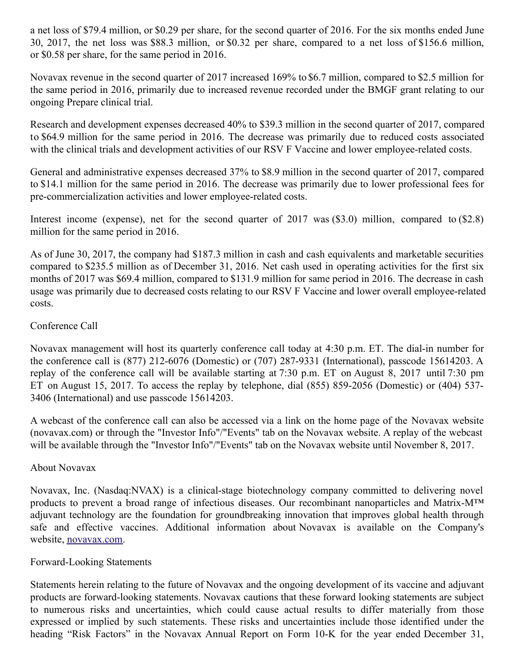a net loss of \$79.4 million, or \$0.29 per share, for the second quarter of 2016. For the six months ended June 30, 2017, the net loss was \$88.3 million, or \$0.32 per share, compared to a net loss of \$156.6 million, or \$0.58 per share, for the same period in 2016.

Novavax revenue in the second quarter of 2017 increased 169% to \$6.7 million, compared to \$2.5 million for the same period in 2016, primarily due to increased revenue recorded under the BMGF grant relating to our ongoing Prepare clinical trial.

Research and development expenses decreased 40% to \$39.3 million in the second quarter of 2017, compared to \$64.9 million for the same period in 2016. The decrease was primarily due to reduced costs associated with the clinical trials and development activities of our RSV F Vaccine and lower employee-related costs.

General and administrative expenses decreased 37% to \$8.9 million in the second quarter of 2017, compared to \$14.1 million for the same period in 2016. The decrease was primarily due to lower professional fees for pre-commercialization activities and lower employee-related costs.

Interest income (expense), net for the second quarter of 2017 was (\$3.0) million, compared to (\$2.8) million for the same period in 2016.

As of June 30, 2017, the company had \$187.3 million in cash and cash equivalents and marketable securities compared to \$235.5 million as of December 31, 2016. Net cash used in operating activities for the first six months of 2017 was \$69.4 million, compared to \$131.9 million for same period in 2016. The decrease in cash usage was primarily due to decreased costs relating to our RSV F Vaccine and lower overall employee-related costs.

### Conference Call

Novavax management will host its quarterly conference call today at 4:30 p.m. ET. The dial-in number for the conference call is (877) 212-6076 (Domestic) or (707) 287-9331 (International), passcode 15614203. A replay of the conference call will be available starting at 7:30 p.m. ET on August 8, 2017 until 7:30 pm ET on August 15, 2017. To access the replay by telephone, dial (855) 859-2056 (Domestic) or (404) 537- 3406 (International) and use passcode 15614203.

A webcast of the conference call can also be accessed via a link on the home page of the Novavax website (novavax.com) or through the "Investor Info"/"Events" tab on the Novavax website. A replay of the webcast will be available through the "Investor Info"/"Events" tab on the Novavax website until November 8, 2017.

#### About Novavax

Novavax, Inc. (Nasdaq:NVAX) is a clinical-stage biotechnology company committed to delivering novel products to prevent a broad range of infectious diseases. Our recombinant nanoparticles and Matrix-M™ adjuvant technology are the foundation for groundbreaking innovation that improves global health through safe and effective vaccines. Additional information about Novavax is available on the Company's website, [novavax.com](https://www.globenewswire.com/Tracker?data=dpdbU8GLLnPW-W0KKg6Q08P2-KA3BHbkTaKt3tAAo3utplzFAgV9WXUXdLJlHsI1BGW0Ga2bd1JNFxns1ouT1Q==).

#### Forward-Looking Statements

Statements herein relating to the future of Novavax and the ongoing development of its vaccine and adjuvant products are forward-looking statements. Novavax cautions that these forward looking statements are subject to numerous risks and uncertainties, which could cause actual results to differ materially from those expressed or implied by such statements. These risks and uncertainties include those identified under the heading "Risk Factors" in the Novavax Annual Report on Form 10-K for the year ended December 31,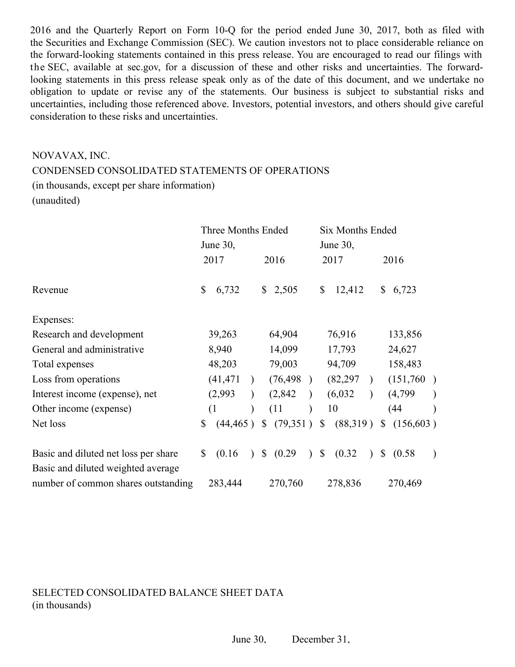2016 and the Quarterly Report on Form 10-Q for the period ended June 30, 2017, both as filed with the Securities and Exchange Commission (SEC). We caution investors not to place considerable reliance on the forward-looking statements contained in this press release. You are encouraged to read our filings with the SEC, available at sec.gov, for a discussion of these and other risks and uncertainties. The forwardlooking statements in this press release speak only as of the date of this document, and we undertake no obligation to update or revise any of the statements. Our business is subject to substantial risks and uncertainties, including those referenced above. Investors, potential investors, and others should give careful consideration to these risks and uncertainties.

# NOVAVAX, INC. CONDENSED CONSOLIDATED STATEMENTS OF OPERATIONS (in thousands, except per share information) (unaudited)

|                                      | Three Months Ended<br>June 30, |                          | <b>Six Months Ended</b><br>June 30, |                            |
|--------------------------------------|--------------------------------|--------------------------|-------------------------------------|----------------------------|
|                                      | 2017                           | 2016                     | 2017                                | 2016                       |
| Revenue                              | \$<br>6,732                    | $\mathbb{S}$<br>2,505    | \$<br>12,412                        | 6,723<br>\$                |
| Expenses:                            |                                |                          |                                     |                            |
| Research and development             | 39,263                         | 64,904                   | 76,916                              | 133,856                    |
| General and administrative           | 8,940                          | 14,099                   | 17,793                              | 24,627                     |
| Total expenses                       | 48,203                         | 79,003                   | 94,709                              | 158,483                    |
| Loss from operations                 | (41, 471)                      | (76, 498)                | (82, 297)<br>$\lambda$              | (151,760)                  |
| Interest income (expense), net       | (2,993)                        | (2,842)                  | (6,032)                             | (4,799)                    |
| Other income (expense)               | (1)<br>$\mathcal{E}$           | (11)                     | 10                                  | (44)                       |
| Net loss                             | $\mathbb{S}$                   | $(44,465)$ \$ $(79,351)$ | \$<br>(88,319)                      | (156, 603)<br>$\mathbb{S}$ |
| Basic and diluted net loss per share | \$<br>(0.16)<br>$\lambda$      | \$ (0.29)                | $\sqrt{S}$<br>(0.32)<br>$\lambda$   | \$ (0.58)                  |
| Basic and diluted weighted average   |                                |                          |                                     |                            |
| number of common shares outstanding  | 283,444                        | 270,760                  | 278,836                             | 270,469                    |

SELECTED CONSOLIDATED BALANCE SHEET DATA (in thousands)